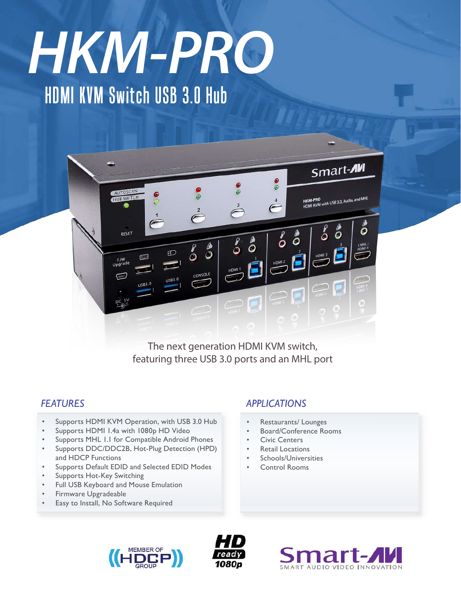# HDMI KVM Switch USB 3.0 Hub *HMK-PRO HKM-PRO*



The next generation HDMI KVM switch, featuring three USB 3.0 ports and an MHL port

### *FEATURES*

- Supports HDMI KVM Operation, with USB 3.0 Hub
- Supports HDMI 1.4a with 1080p HD Video
- Supports MHL 1.1 for Compatible Android Phones
- Supports DDC/DDC2B, Hot-Plug Detection (HPD) and HDCP Functions
- Supports Default EDID and Selected EDID Modes
- Supports Hot-Key Switching
- Full USB Keyboard and Mouse Emulation
- Firmware Upgradeable
- Easy to Install, No Software Required

#### *APPLICATIONS*

- Restaurants/ Lounges
- Board/Conference Rooms
- **Civic Centers**
- **Retail Locations**
- Schools/Universities
- **Control Rooms**